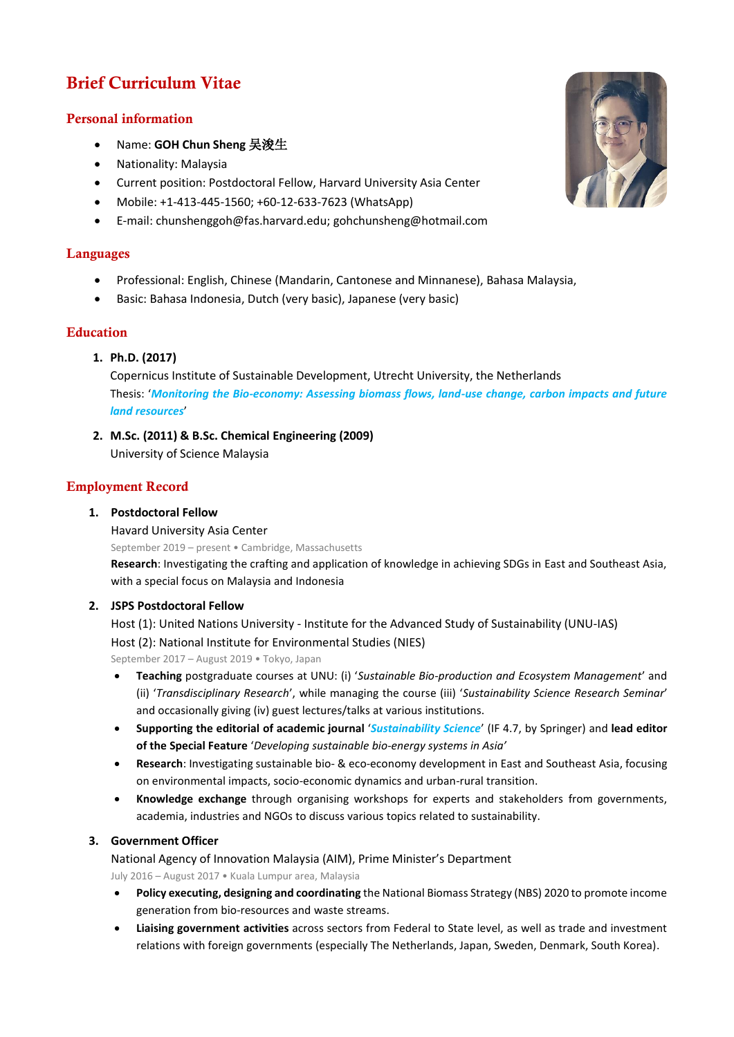# Brief Curriculum Vitae

# Personal information

- Name: **GOH Chun Sheng** 吴浚生
- Nationality: Malaysia
- Current position: Postdoctoral Fellow, Harvard University Asia Center
- Mobile: +1-413-445-1560; +60-12-633-7623 (WhatsApp)
- E-mail: chunshenggoh@fas.harvard.edu; gohchunsheng@hotmail.com

# Languages

- Professional: English, Chinese (Mandarin, Cantonese and Minnanese), Bahasa Malaysia,
- Basic: Bahasa Indonesia, Dutch (very basic), Japanese (very basic)

# Education

**1. Ph.D. (2017)**

Copernicus Institute of Sustainable Development, Utrecht University, the Netherlands Thesis: '*Monitoring the Bio-economy: Assessing biomass flows, land-use change, carbon impacts and future land resources*'

**2. M.Sc. (2011) & B.Sc. Chemical Engineering (2009)** University of Science Malaysia

# Employment Record

# **1. Postdoctoral Fellow**

Havard University Asia Center

September 2019 – present • Cambridge, Massachusetts **Research**: Investigating the crafting and application of knowledge in achieving SDGs in East and Southeast Asia, with a special focus on Malaysia and Indonesia

# **2. JSPS Postdoctoral Fellow**

Host (1): United Nations University - Institute for the Advanced Study of Sustainability (UNU-IAS) Host (2): National Institute for Environmental Studies (NIES) September 2017 – August 2019 • Tokyo, Japan

• **Teaching** postgraduate courses at UNU: (i) '*Sustainable Bio-production and Ecosystem Management*' and (ii) '*Transdisciplinary Research*', while managing the course (iii) '*Sustainability Science Research Seminar*' and occasionally giving (iv) guest lectures/talks at various institutions.

- **Supporting the editorial of academic journal** '*Sustainability Science*' (IF 4.7, by Springer) and **lead editor of the Special Feature** '*Developing sustainable bio-energy systems in Asia'*
- **Research**: Investigating sustainable bio- & eco-economy development in East and Southeast Asia, focusing on environmental impacts, socio-economic dynamics and urban-rural transition.
- **Knowledge exchange** through organising workshops for experts and stakeholders from governments, academia, industries and NGOs to discuss various topics related to sustainability.

# **3. Government Officer**

National Agency of Innovation Malaysia (AIM), Prime Minister's Department July 2016 – August 2017 • Kuala Lumpur area, Malaysia

- **Policy executing, designing and coordinating** the National Biomass Strategy (NBS) 2020 to promote income generation from bio-resources and waste streams.
- **Liaising government activities** across sectors from Federal to State level, as well as trade and investment relations with foreign governments (especially The Netherlands, Japan, Sweden, Denmark, South Korea).

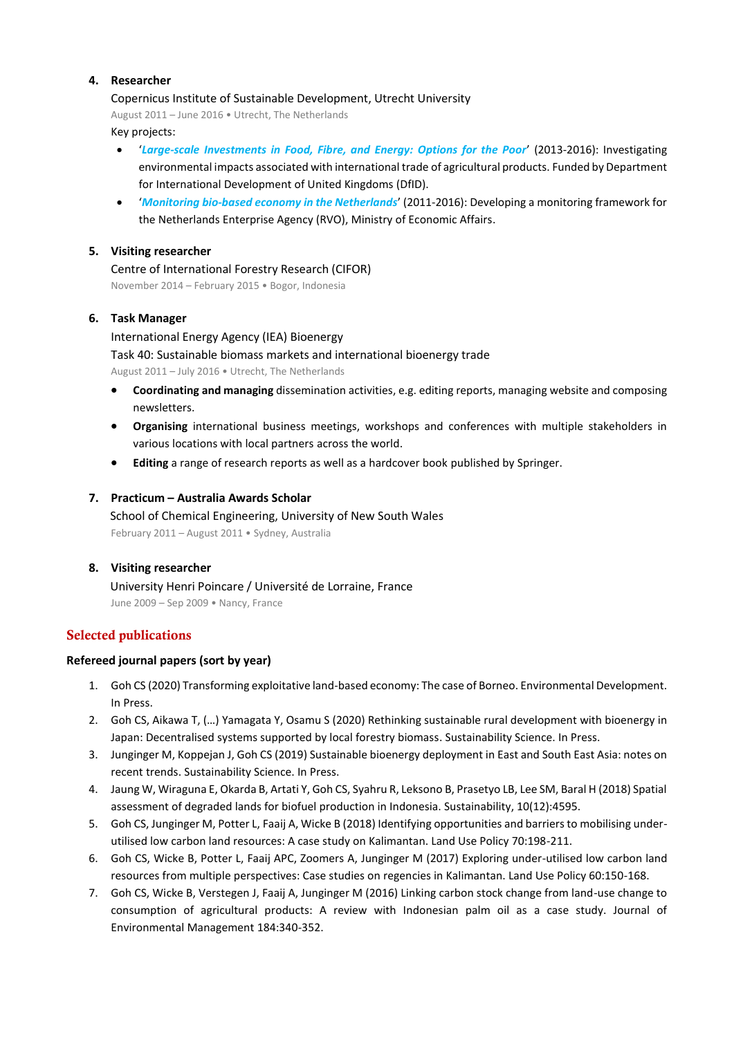# **4. Researcher**

#### Copernicus Institute of Sustainable Development, Utrecht University

August 2011 – June 2016 • Utrecht, The Netherlands Key projects:

- '*Large-scale Investments in Food, Fibre, and Energy: Options for the Poor*' (2013-2016): Investigating environmental impacts associated with international trade of agricultural products. Funded by Department for International Development of United Kingdoms (DfID).
- '*Monitoring bio-based economy in the Netherlands*' (2011-2016): Developing a monitoring framework for the Netherlands Enterprise Agency (RVO), Ministry of Economic Affairs.

# **5. Visiting researcher**

Centre of International Forestry Research (CIFOR) November 2014 – February 2015 • Bogor, Indonesia

#### **6. Task Manager**

International Energy Agency (IEA) Bioenergy Task 40: Sustainable biomass markets and international bioenergy trade August 2011 – July 2016 • Utrecht, The Netherlands

- **Coordinating and managing** dissemination activities, e.g. editing reports, managing website and composing newsletters.
- **Organising** international business meetings, workshops and conferences with multiple stakeholders in various locations with local partners across the world.
- **Editing** a range of research reports as well as a hardcover book published by Springer.

#### **7. Practicum – Australia Awards Scholar**

School of Chemical Engineering, University of New South Wales February 2011 – August 2011 • Sydney, Australia

# **8. Visiting researcher**

University Henri Poincare / Université de Lorraine, France June 2009 – Sep 2009 • Nancy, France

# Selected publications

# **Refereed journal papers (sort by year)**

- 1. Goh CS (2020) Transforming exploitative land-based economy: The case of Borneo. Environmental Development. In Press.
- 2. Goh CS, Aikawa T, (…) Yamagata Y, Osamu S (2020) Rethinking sustainable rural development with bioenergy in Japan: Decentralised systems supported by local forestry biomass. Sustainability Science. In Press.
- 3. Junginger M, Koppejan J, Goh CS (2019) Sustainable bioenergy deployment in East and South East Asia: notes on recent trends. Sustainability Science. In Press.
- 4. Jaung W, Wiraguna E, Okarda B, Artati Y, Goh CS, Syahru R, Leksono B, Prasetyo LB, Lee SM, Baral H (2018) Spatial assessment of degraded lands for biofuel production in Indonesia. Sustainability, 10(12):4595.
- 5. Goh CS, Junginger M, Potter L, Faaij A, Wicke B (2018) Identifying opportunities and barriers to mobilising underutilised low carbon land resources: A case study on Kalimantan. Land Use Policy 70:198-211.
- 6. Goh CS, Wicke B, Potter L, Faaij APC, Zoomers A, Junginger M (2017) Exploring under-utilised low carbon land resources from multiple perspectives: Case studies on regencies in Kalimantan. Land Use Policy 60:150-168.
- 7. Goh CS, Wicke B, Verstegen J, Faaij A, Junginger M (2016) Linking carbon stock change from land-use change to consumption of agricultural products: A review with Indonesian palm oil as a case study. Journal of Environmental Management 184:340-352.